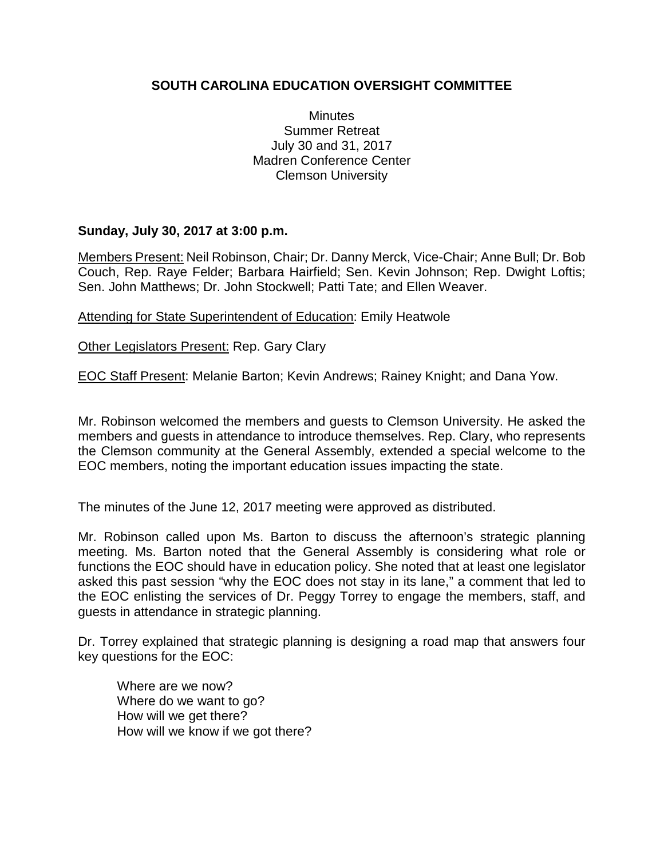## **SOUTH CAROLINA EDUCATION OVERSIGHT COMMITTEE**

**Minutes** Summer Retreat July 30 and 31, 2017 Madren Conference Center Clemson University

## **Sunday, July 30, 2017 at 3:00 p.m.**

Members Present: Neil Robinson, Chair; Dr. Danny Merck, Vice-Chair; Anne Bull; Dr. Bob Couch, Rep. Raye Felder; Barbara Hairfield; Sen. Kevin Johnson; Rep. Dwight Loftis; Sen. John Matthews; Dr. John Stockwell; Patti Tate; and Ellen Weaver.

Attending for State Superintendent of Education: Emily Heatwole

Other Legislators Present: Rep. Gary Clary

EOC Staff Present: Melanie Barton; Kevin Andrews; Rainey Knight; and Dana Yow.

Mr. Robinson welcomed the members and guests to Clemson University. He asked the members and guests in attendance to introduce themselves. Rep. Clary, who represents the Clemson community at the General Assembly, extended a special welcome to the EOC members, noting the important education issues impacting the state.

The minutes of the June 12, 2017 meeting were approved as distributed.

Mr. Robinson called upon Ms. Barton to discuss the afternoon's strategic planning meeting. Ms. Barton noted that the General Assembly is considering what role or functions the EOC should have in education policy. She noted that at least one legislator asked this past session "why the EOC does not stay in its lane," a comment that led to the EOC enlisting the services of Dr. Peggy Torrey to engage the members, staff, and guests in attendance in strategic planning.

Dr. Torrey explained that strategic planning is designing a road map that answers four key questions for the EOC:

Where are we now? Where do we want to go? How will we get there? How will we know if we got there?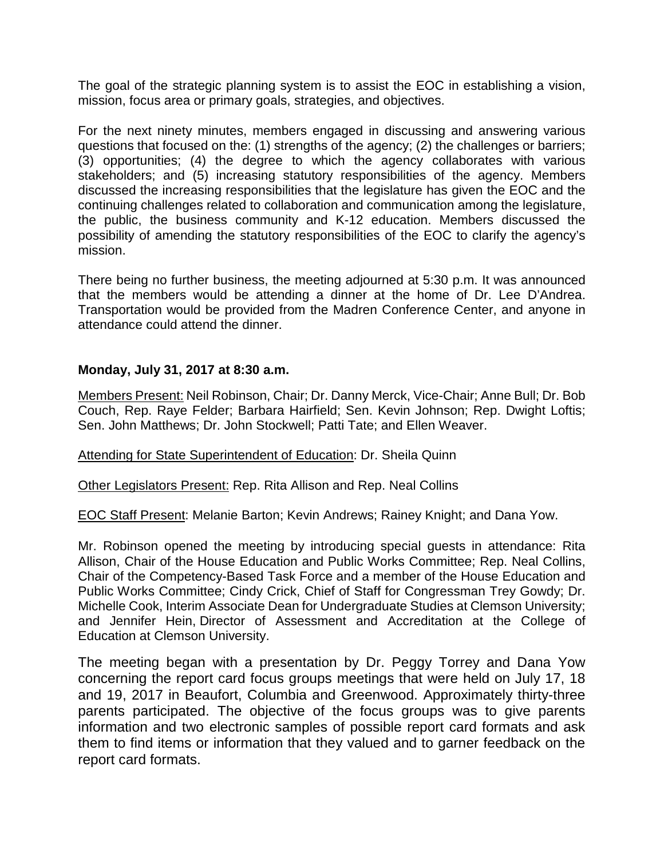The goal of the strategic planning system is to assist the EOC in establishing a vision, mission, focus area or primary goals, strategies, and objectives.

For the next ninety minutes, members engaged in discussing and answering various questions that focused on the: (1) strengths of the agency; (2) the challenges or barriers; (3) opportunities; (4) the degree to which the agency collaborates with various stakeholders; and (5) increasing statutory responsibilities of the agency. Members discussed the increasing responsibilities that the legislature has given the EOC and the continuing challenges related to collaboration and communication among the legislature, the public, the business community and K-12 education. Members discussed the possibility of amending the statutory responsibilities of the EOC to clarify the agency's mission.

There being no further business, the meeting adjourned at 5:30 p.m. It was announced that the members would be attending a dinner at the home of Dr. Lee D'Andrea. Transportation would be provided from the Madren Conference Center, and anyone in attendance could attend the dinner.

## **Monday, July 31, 2017 at 8:30 a.m.**

Members Present: Neil Robinson, Chair; Dr. Danny Merck, Vice-Chair; Anne Bull; Dr. Bob Couch, Rep. Raye Felder; Barbara Hairfield; Sen. Kevin Johnson; Rep. Dwight Loftis; Sen. John Matthews; Dr. John Stockwell; Patti Tate; and Ellen Weaver.

Attending for State Superintendent of Education: Dr. Sheila Quinn

Other Legislators Present: Rep. Rita Allison and Rep. Neal Collins

EOC Staff Present: Melanie Barton; Kevin Andrews; Rainey Knight; and Dana Yow.

Mr. Robinson opened the meeting by introducing special guests in attendance: Rita Allison, Chair of the House Education and Public Works Committee; Rep. Neal Collins, Chair of the Competency-Based Task Force and a member of the House Education and Public Works Committee; Cindy Crick, Chief of Staff for Congressman Trey Gowdy; Dr. Michelle Cook, Interim Associate Dean for Undergraduate Studies at Clemson University; and Jennifer Hein, Director of Assessment and Accreditation at the College of Education at Clemson University.

The meeting began with a presentation by Dr. Peggy Torrey and Dana Yow concerning the report card focus groups meetings that were held on July 17, 18 and 19, 2017 in Beaufort, Columbia and Greenwood. Approximately thirty-three parents participated. The objective of the focus groups was to give parents information and two electronic samples of possible report card formats and ask them to find items or information that they valued and to garner feedback on the report card formats.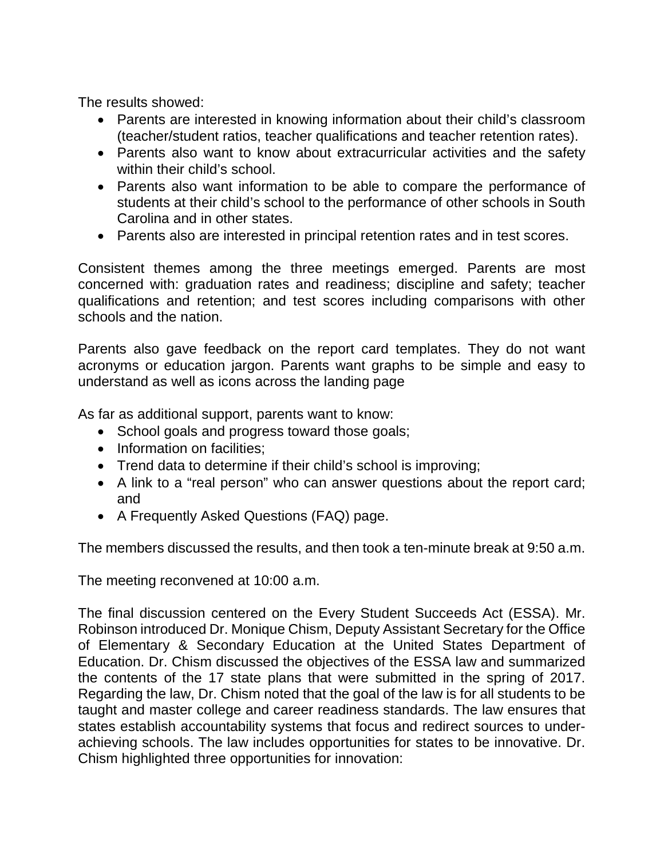The results showed:

- Parents are interested in knowing information about their child's classroom (teacher/student ratios, teacher qualifications and teacher retention rates).
- Parents also want to know about extracurricular activities and the safety within their child's school.
- Parents also want information to be able to compare the performance of students at their child's school to the performance of other schools in South Carolina and in other states.
- Parents also are interested in principal retention rates and in test scores.

Consistent themes among the three meetings emerged. Parents are most concerned with: graduation rates and readiness; discipline and safety; teacher qualifications and retention; and test scores including comparisons with other schools and the nation.

Parents also gave feedback on the report card templates. They do not want acronyms or education jargon. Parents want graphs to be simple and easy to understand as well as icons across the landing page

As far as additional support, parents want to know:

- School goals and progress toward those goals;
- Information on facilities;
- Trend data to determine if their child's school is improving;
- A link to a "real person" who can answer questions about the report card; and
- A Frequently Asked Questions (FAQ) page.

The members discussed the results, and then took a ten-minute break at 9:50 a.m.

The meeting reconvened at 10:00 a.m.

The final discussion centered on the Every Student Succeeds Act (ESSA). Mr. Robinson introduced Dr. Monique Chism, Deputy Assistant Secretary for the Office of Elementary & Secondary Education at the United States Department of Education. Dr. Chism discussed the objectives of the ESSA law and summarized the contents of the 17 state plans that were submitted in the spring of 2017. Regarding the law, Dr. Chism noted that the goal of the law is for all students to be taught and master college and career readiness standards. The law ensures that states establish accountability systems that focus and redirect sources to underachieving schools. The law includes opportunities for states to be innovative. Dr. Chism highlighted three opportunities for innovation: